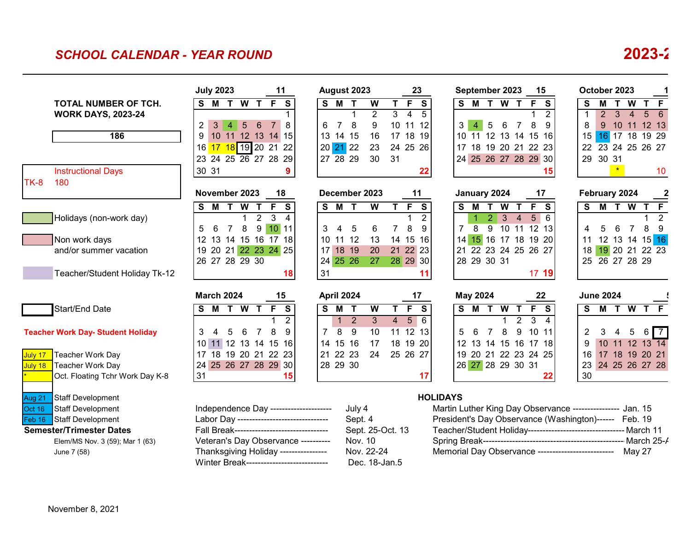## *SCHOOL CALENDAR - YEAR ROUND* **2023-2**